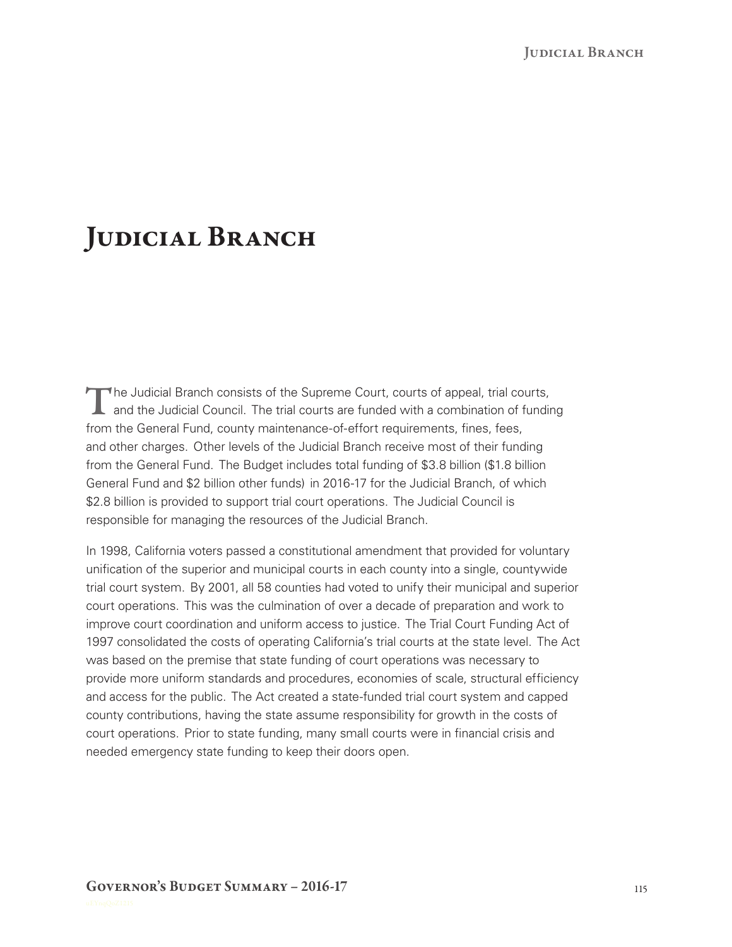## JUDICIAL BRANCH

The Judicial Branch consists of the Supreme Court, courts of appeal, trial courts,<br>and the Judicial Council. The trial courts are funded with a combination of funding from the General Fund, county maintenance-of-effort requirements, fines, fees, and other charges. Other levels of the Judicial Branch receive most of their funding from the General Fund. The Budget includes total funding of \$3.8 billion (\$1.8 billion General Fund and \$2 billion other funds) in 2016‑17 for the Judicial Branch, of which \$2.8 billion is provided to support trial court operations. The Judicial Council is responsible for managing the resources of the Judicial Branch.

In 1998, California voters passed a constitutional amendment that provided for voluntary unification of the superior and municipal courts in each county into a single, countywide trial court system. By 2001, all 58 counties had voted to unify their municipal and superior court operations. This was the culmination of over a decade of preparation and work to improve court coordination and uniform access to justice. The Trial Court Funding Act of 1997 consolidated the costs of operating California's trial courts at the state level. The Act was based on the premise that state funding of court operations was necessary to provide more uniform standards and procedures, economies of scale, structural efficiency and access for the public. The Act created a state-funded trial court system and capped county contributions, having the state assume responsibility for growth in the costs of court operations. Prior to state funding, many small courts were in financial crisis and needed emergency state funding to keep their doors open.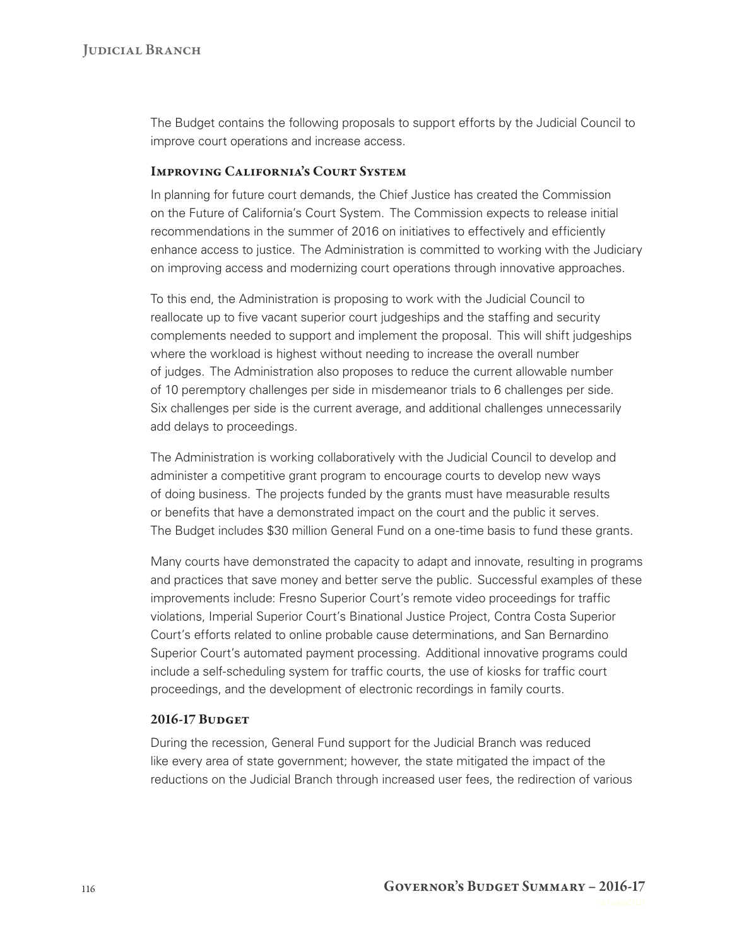The Budget contains the following proposals to support efforts by the Judicial Council to improve court operations and increase access.

## Improving California's Court System

In planning for future court demands, the Chief Justice has created the Commission on the Future of California's Court System. The Commission expects to release initial recommendations in the summer of 2016 on initiatives to effectively and efficiently enhance access to justice. The Administration is committed to working with the Judiciary on improving access and modernizing court operations through innovative approaches.

To this end, the Administration is proposing to work with the Judicial Council to reallocate up to five vacant superior court judgeships and the staffing and security complements needed to support and implement the proposal. This will shift judgeships where the workload is highest without needing to increase the overall number of judges. The Administration also proposes to reduce the current allowable number of 10 peremptory challenges per side in misdemeanor trials to 6 challenges per side. Six challenges per side is the current average, and additional challenges unnecessarily add delays to proceedings.

The Administration is working collaboratively with the Judicial Council to develop and administer a competitive grant program to encourage courts to develop new ways of doing business. The projects funded by the grants must have measurable results or benefits that have a demonstrated impact on the court and the public it serves. The Budget includes \$30 million General Fund on a one-time basis to fund these grants.

Many courts have demonstrated the capacity to adapt and innovate, resulting in programs and practices that save money and better serve the public. Successful examples of these improvements include: Fresno Superior Court's remote video proceedings for traffic violations, Imperial Superior Court's Binational Justice Project, Contra Costa Superior Court's efforts related to online probable cause determinations, and San Bernardino Superior Court's automated payment processing. Additional innovative programs could include a self‑scheduling system for traffic courts, the use of kiosks for traffic court proceedings, and the development of electronic recordings in family courts.

## 2016-17 BUDGET

During the recession, General Fund support for the Judicial Branch was reduced like every area of state government; however, the state mitigated the impact of the reductions on the Judicial Branch through increased user fees, the redirection of various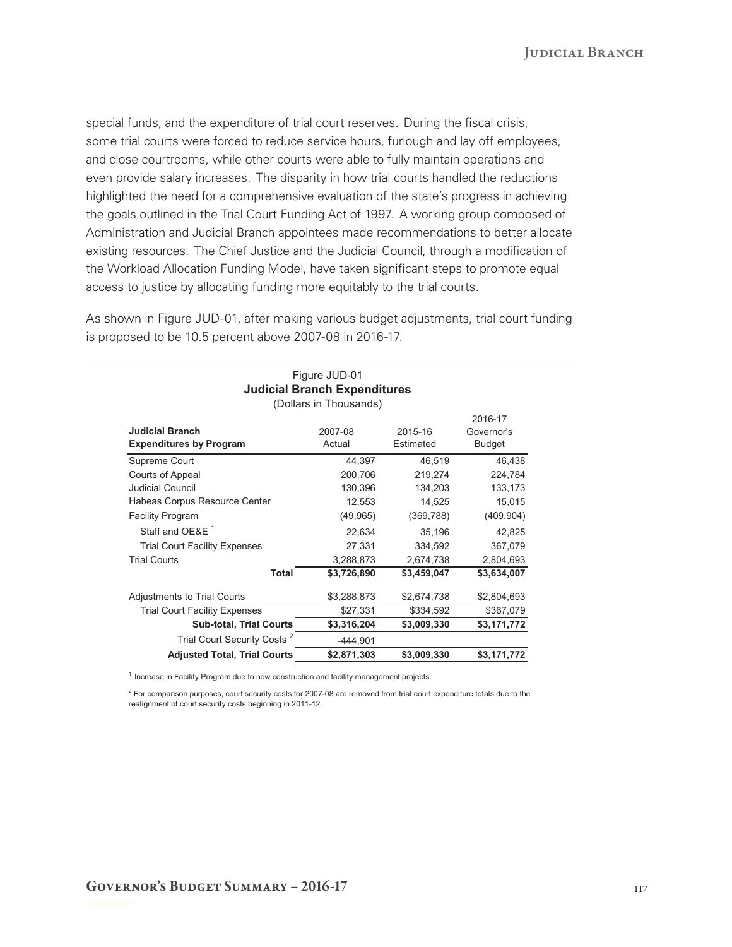special funds, and the expenditure of trial court reserves. During the fiscal crisis, some trial courts were forced to reduce service hours, furlough and lay off employees, and close courtrooms, while other courts were able to fully maintain operations and even provide salary increases. The disparity in how trial courts handled the reductions highlighted the need for a comprehensive evaluation of the state's progress in achieving the goals outlined in the Trial Court Funding Act of 1997. A working group composed of Administration and Judicial Branch appointees made recommendations to better allocate existing resources. The Chief Justice and the Judicial Council, through a modification of the Workload Allocation Funding Model, have taken significant steps to promote equal access to justice by allocating funding more equitably to the trial courts.

As shown in Figure JUD-01, after making various budget adjustments, trial court funding is proposed to be 10.5 percent above 2007-08 in 2016-17.

| (Dollars in Thousands)                                   |                   |                      |                                        |
|----------------------------------------------------------|-------------------|----------------------|----------------------------------------|
| <b>Judicial Branch</b><br><b>Expenditures by Program</b> | 2007-08<br>Actual | 2015-16<br>Estimated | 2016-17<br>Governor's<br><b>Budget</b> |
| Supreme Court                                            | 44,397            | 46,519               | 46,438                                 |
| Courts of Appeal                                         | 200.706           | 219,274              | 224,784                                |
| Judicial Council                                         | 130,396           | 134,203              | 133,173                                |
| Habeas Corpus Resource Center                            | 12,553            | 14,525               | 15,015                                 |
| <b>Facility Program</b>                                  | (49, 965)         | (369, 788)           | (409, 904)                             |
| Staff and OE&E <sup>1</sup>                              | 22,634            | 35,196               | 42,825                                 |
| <b>Trial Court Facility Expenses</b>                     | 27,331            | 334,592              | 367,079                                |
| <b>Trial Courts</b>                                      | 3,288,873         | 2,674,738            | 2,804,693                              |
| <b>Total</b>                                             | \$3,726,890       | \$3,459,047          | \$3,634,007                            |
| <b>Adjustments to Trial Courts</b>                       | \$3,288,873       | \$2,674,738          | \$2,804,693                            |
| <b>Trial Court Facility Expenses</b>                     | \$27,331          | \$334,592            | \$367,079                              |
| <b>Sub-total, Trial Courts</b>                           | \$3,316,204       | \$3,009,330          | \$3,171,772                            |
| Trial Court Security Costs <sup>2</sup>                  | $-444,901$        |                      |                                        |
| <b>Adjusted Total, Trial Courts</b>                      | \$2,871,303       | \$3,009,330          | \$3,171,772                            |

 $1$  Increase in Facility Program due to new construction and facility management projects.

 $2$  For comparison purposes, court security costs for 2007-08 are removed from trial court expenditure totals due to the realignment of court security costs beginning in 2011-12.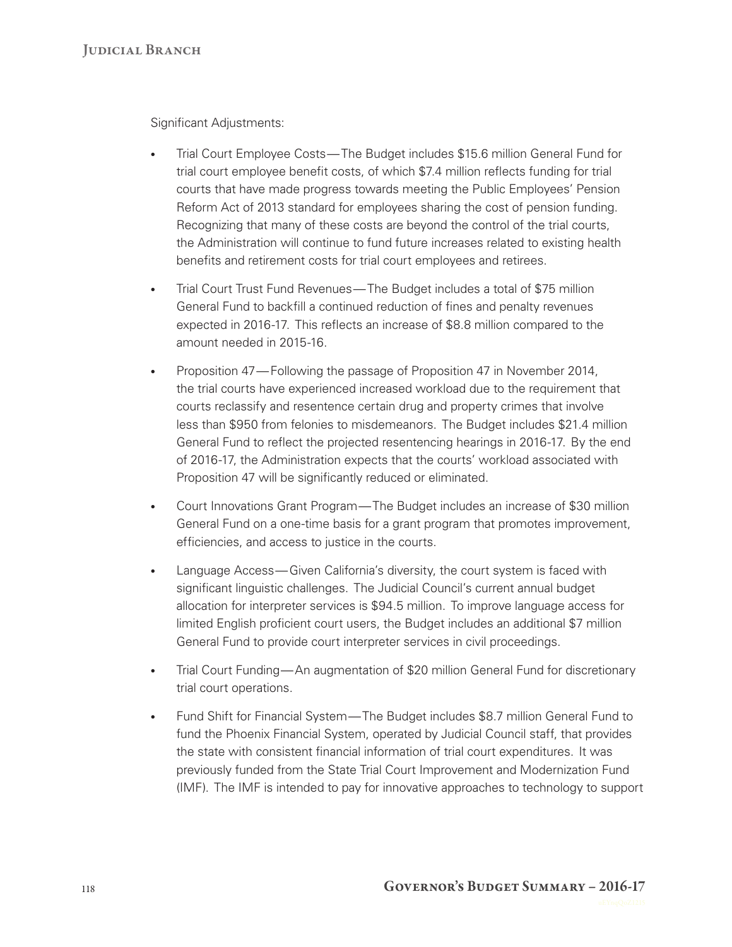Significant Adjustments:

- Trial Court Employee Costs— The Budget includes \$15.6 million General Fund for trial court employee benefit costs, of which \$7.4 million reflects funding for trial courts that have made progress towards meeting the Public Employees' Pension Reform Act of 2013 standard for employees sharing the cost of pension funding. Recognizing that many of these costs are beyond the control of the trial courts, the Administration will continue to fund future increases related to existing health benefits and retirement costs for trial court employees and retirees.
- Trial Court Trust Fund Revenues— The Budget includes a total of \$75 million General Fund to backfill a continued reduction of fines and penalty revenues expected in 2016-17. This reflects an increase of \$8.8 million compared to the amount needed in 2015-16.
- Proposition 47— Following the passage of Proposition 47 in November 2014, the trial courts have experienced increased workload due to the requirement that courts reclassify and resentence certain drug and property crimes that involve less than \$950 from felonies to misdemeanors. The Budget includes \$21.4 million General Fund to reflect the projected resentencing hearings in 2016‑17. By the end of 2016‑17, the Administration expects that the courts' workload associated with Proposition 47 will be significantly reduced or eliminated.
- Court Innovations Grant Program— The Budget includes an increase of \$30 million General Fund on a one-time basis for a grant program that promotes improvement, efficiencies, and access to justice in the courts.
- Language Access— Given California's diversity, the court system is faced with significant linguistic challenges. The Judicial Council's current annual budget allocation for interpreter services is \$94.5 million. To improve language access for limited English proficient court users, the Budget includes an additional \$7 million General Fund to provide court interpreter services in civil proceedings.
- Trial Court Funding— An augmentation of \$20 million General Fund for discretionary trial court operations.
- Fund Shift for Financial System— The Budget includes \$8.7 million General Fund to fund the Phoenix Financial System, operated by Judicial Council staff, that provides the state with consistent financial information of trial court expenditures. It was previously funded from the State Trial Court Improvement and Modernization Fund (IMF). The IMF is intended to pay for innovative approaches to technology to support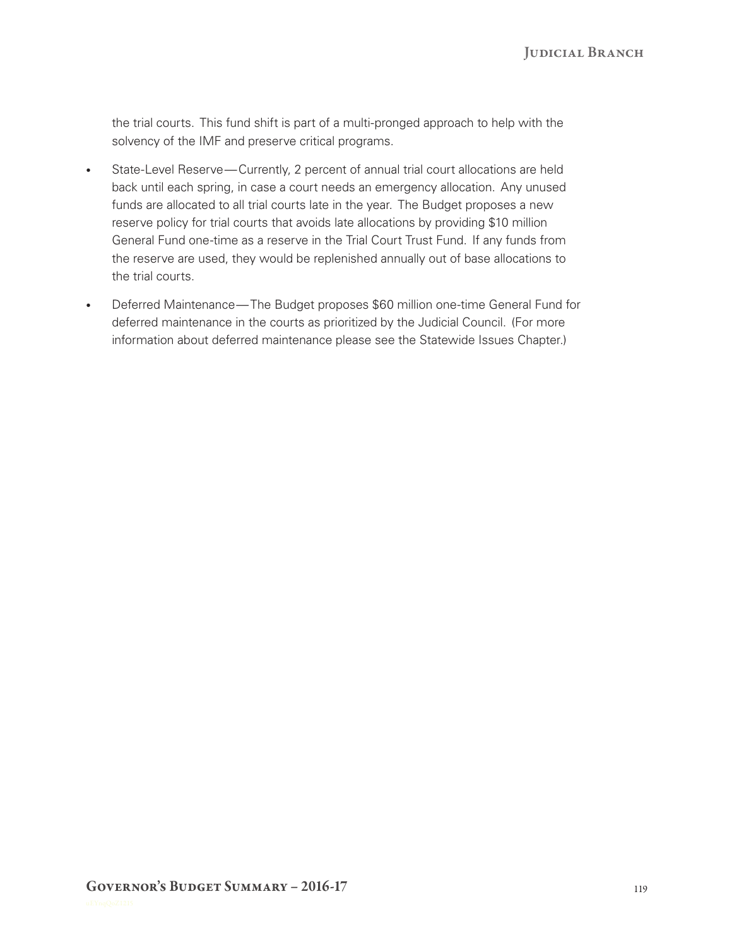the trial courts. This fund shift is part of a multi‑pronged approach to help with the solvency of the IMF and preserve critical programs.

- State-Level Reserve—Currently, 2 percent of annual trial court allocations are held back until each spring, in case a court needs an emergency allocation. Any unused funds are allocated to all trial courts late in the year. The Budget proposes a new reserve policy for trial courts that avoids late allocations by providing \$10 million General Fund one-time as a reserve in the Trial Court Trust Fund. If any funds from the reserve are used, they would be replenished annually out of base allocations to the trial courts.
- Deferred Maintenance— The Budget proposes \$60 million one-time General Fund for deferred maintenance in the courts as prioritized by the Judicial Council. (For more information about deferred maintenance please see the Statewide Issues Chapter.)